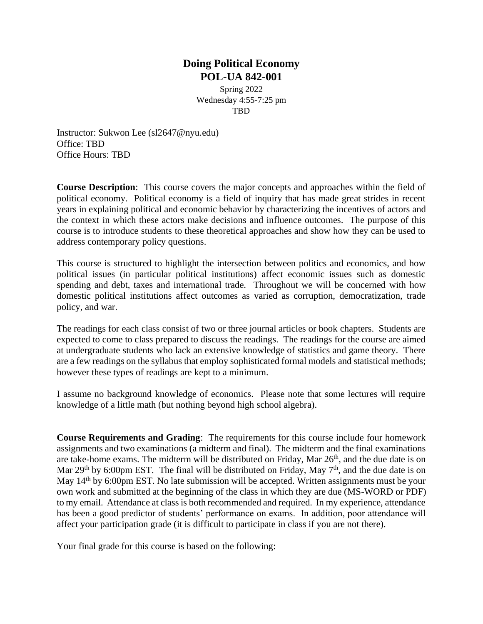# **Doing Political Economy POL-UA 842-001**

Spring 2022 Wednesday 4:55-7:25 pm **TRD** 

Instructor: Sukwon Lee (sl2647@nyu.edu) Office: TBD Office Hours: TBD

**Course Description**: This course covers the major concepts and approaches within the field of political economy. Political economy is a field of inquiry that has made great strides in recent years in explaining political and economic behavior by characterizing the incentives of actors and the context in which these actors make decisions and influence outcomes. The purpose of this course is to introduce students to these theoretical approaches and show how they can be used to address contemporary policy questions.

This course is structured to highlight the intersection between politics and economics, and how political issues (in particular political institutions) affect economic issues such as domestic spending and debt, taxes and international trade. Throughout we will be concerned with how domestic political institutions affect outcomes as varied as corruption, democratization, trade policy, and war.

The readings for each class consist of two or three journal articles or book chapters. Students are expected to come to class prepared to discuss the readings. The readings for the course are aimed at undergraduate students who lack an extensive knowledge of statistics and game theory. There are a few readings on the syllabus that employ sophisticated formal models and statistical methods; however these types of readings are kept to a minimum.

I assume no background knowledge of economics. Please note that some lectures will require knowledge of a little math (but nothing beyond high school algebra).

**Course Requirements and Grading**: The requirements for this course include four homework assignments and two examinations (a midterm and final). The midterm and the final examinations are take-home exams. The midterm will be distributed on Friday, Mar 26<sup>th</sup>, and the due date is on Mar 29<sup>th</sup> by 6:00pm EST. The final will be distributed on Friday, May 7<sup>th</sup>, and the due date is on May 14<sup>th</sup> by 6:00pm EST. No late submission will be accepted. Written assignments must be your own work and submitted at the beginning of the class in which they are due (MS-WORD or PDF) to my email. Attendance at class is both recommended and required. In my experience, attendance has been a good predictor of students' performance on exams. In addition, poor attendance will affect your participation grade (it is difficult to participate in class if you are not there).

Your final grade for this course is based on the following: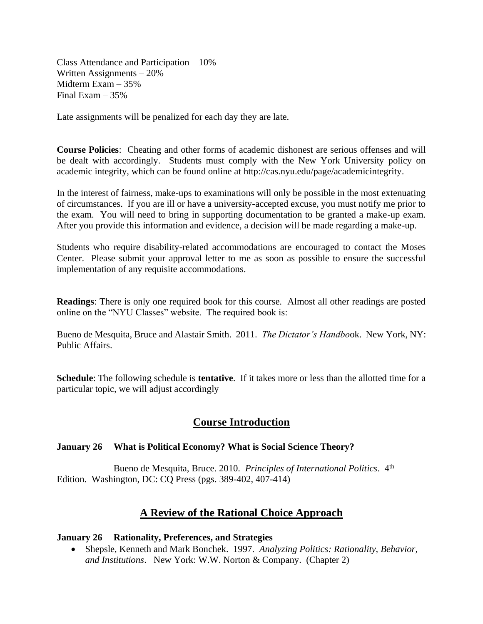Class Attendance and Participation – 10% Written Assignments – 20% Midterm Exam – 35% Final Exam  $-35%$ 

Late assignments will be penalized for each day they are late.

**Course Policies**: Cheating and other forms of academic dishonest are serious offenses and will be dealt with accordingly. Students must comply with the New York University policy on academic integrity, which can be found online at [http://cas.nyu.edu/page/academicintegrity.](http://cas.nyu.edu/page/academicintegrity) 

In the interest of fairness, make-ups to examinations will only be possible in the most extenuating of circumstances. If you are ill or have a university-accepted excuse, you must notify me prior to the exam. You will need to bring in supporting documentation to be granted a make-up exam. After you provide this information and evidence, a decision will be made regarding a make-up.

Students who require disability-related accommodations are encouraged to contact the Moses Center. Please submit your approval letter to me as soon as possible to ensure the successful implementation of any requisite accommodations.

**Readings**: There is only one required book for this course. Almost all other readings are posted online on the "NYU Classes" website. The required book is:

Bueno de Mesquita, Bruce and Alastair Smith. 2011. *The Dictator's Handbo*ok. New York, NY: Public Affairs.

**Schedule**: The following schedule is **tentative**. If it takes more or less than the allotted time for a particular topic, we will adjust accordingly

# **Course Introduction**

#### **January 26 What is Political Economy? What is Social Science Theory?**

Bueno de Mesquita, Bruce. 2010. *Principles of International Politics*. 4<sup>th</sup> Edition. Washington, DC: CQ Press (pgs. 389-402, 407-414)

# **A Review of the Rational Choice Approach**

#### **January 26 Rationality, Preferences, and Strategies**

• Shepsle, Kenneth and Mark Bonchek. 1997. *Analyzing Politics: Rationality, Behavior, and Institutions*. New York: W.W. Norton & Company. (Chapter 2)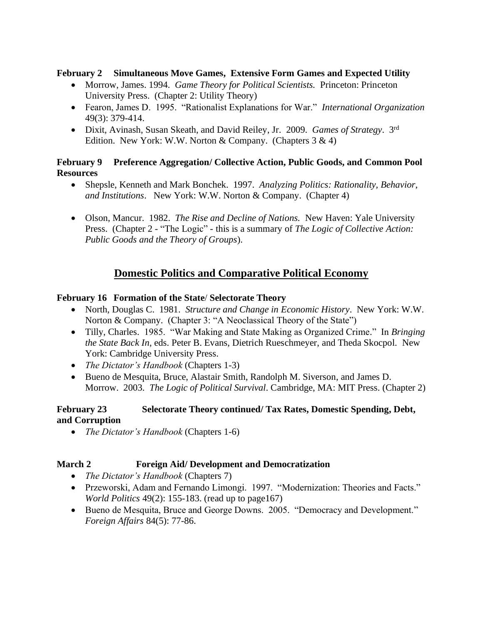### **February 2 Simultaneous Move Games, Extensive Form Games and Expected Utility**

- Morrow, James. 1994. *Game Theory for Political Scientists.* Princeton: Princeton University Press. (Chapter 2: Utility Theory)
- Fearon, James D. 1995. "Rationalist Explanations for War." *International Organization* 49(3): 379-414.
- Dixit, Avinash, Susan Skeath, and David Reiley, Jr. 2009. *Games of Strategy*. 3rd Edition. New York: W.W. Norton & Company. (Chapters  $3 \& 4$ )

## **February 9 Preference Aggregation/ Collective Action, Public Goods, and Common Pool Resources**

- Shepsle, Kenneth and Mark Bonchek. 1997. *Analyzing Politics: Rationality, Behavior, and Institutions*. New York: W.W. Norton & Company. (Chapter 4)
- Olson, Mancur. 1982. *The Rise and Decline of Nations.* New Haven: Yale University Press. (Chapter 2 - "The Logic" - this is a summary of *The Logic of Collective Action: Public Goods and the Theory of Groups*).

# **Domestic Politics and Comparative Political Economy**

## **February 16 Formation of the State**/ **Selectorate Theory**

- North, Douglas C. 1981. *Structure and Change in Economic History*. New York: W.W. Norton & Company. (Chapter 3: "A Neoclassical Theory of the State")
- Tilly, Charles. 1985. "War Making and State Making as Organized Crime." In *Bringing the State Back In*, eds. Peter B. Evans, Dietrich Rueschmeyer, and Theda Skocpol. New York: Cambridge University Press.
- *The Dictator's Handbook* (Chapters 1-3)
- Bueno de Mesquita, Bruce, Alastair Smith, Randolph M. Siverson, and James D. Morrow. 2003. *The Logic of Political Survival*. Cambridge, MA: MIT Press. (Chapter 2)

## **February 23 Selectorate Theory continued/ Tax Rates, Domestic Spending, Debt, and Corruption**

• *The Dictator's Handbook* (Chapters 1-6)

## **March 2 Foreign Aid/ Development and Democratization**

- *The Dictator's Handbook* (Chapters 7)
- Przeworski, Adam and Fernando Limongi. 1997. "Modernization: Theories and Facts." *World Politics* 49(2): 155-183. (read up to page167)
- Bueno de Mesquita, Bruce and George Downs. 2005. "Democracy and Development." *Foreign Affairs* 84(5): 77-86.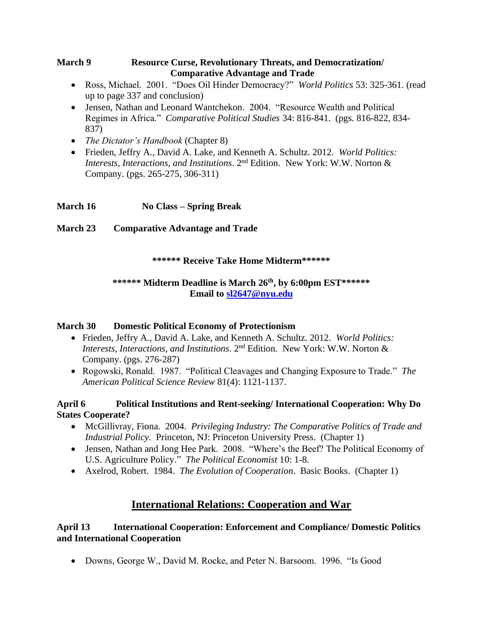## **March 9 Resource Curse, Revolutionary Threats, and Democratization/ Comparative Advantage and Trade**

- Ross, Michael. 2001. "Does Oil Hinder Democracy?" *World Politics* 53: 325-361. (read up to page 337 and conclusion)
- Jensen, Nathan and Leonard Wantchekon. 2004. "Resource Wealth and Political Regimes in Africa." *Comparative Political Studies* 34: 816-841. (pgs. 816-822, 834- 837)
- *The Dictator's Handbook* (Chapter 8)
- Frieden, Jeffry A., David A. Lake, and Kenneth A. Schultz. 2012. *World Politics: Interests, Interactions, and Institutions*. 2nd Edition. New York: W.W. Norton & Company. (pgs. 265-275, 306-311)

# **March 16 No Class – Spring Break**

# **March 23 Comparative Advantage and Trade**

## **\*\*\*\*\*\* Receive Take Home Midterm\*\*\*\*\*\***

## **\*\*\*\*\*\* Midterm Deadline is March 26 th, by 6:00pm EST\*\*\*\*\*\* Email to [sl2647@nyu.edu](mailto:sl2647@nyu.edu)**

## **March 30 Domestic Political Economy of Protectionism**

- Frieden, Jeffry A., David A. Lake, and Kenneth A. Schultz. 2012. *World Politics: Interests, Interactions, and Institutions*. 2nd Edition. New York: W.W. Norton & Company. (pgs. 276-287)
- Rogowski, Ronald. 1987. "Political Cleavages and Changing Exposure to Trade." *The American Political Science Review* 81(4): 1121-1137.

## **April 6 Political Institutions and Rent-seeking/ International Cooperation: Why Do States Cooperate?**

- McGillivray, Fiona. 2004. *Privileging Industry: The Comparative Politics of Trade and Industrial Policy.* Princeton, NJ: Princeton University Press. (Chapter 1)
- Jensen, Nathan and Jong Hee Park. 2008. "Where's the Beef? The Political Economy of U.S. Agriculture Policy." *The Political Economist* 10: 1-8.
- Axelrod, Robert. 1984. *The Evolution of Cooperation*. Basic Books. (Chapter 1)

# **International Relations: Cooperation and War**

# **April 13 International Cooperation: Enforcement and Compliance/ Domestic Politics and International Cooperation**

• Downs, George W., David M. Rocke, and Peter N. Barsoom. 1996. "Is Good